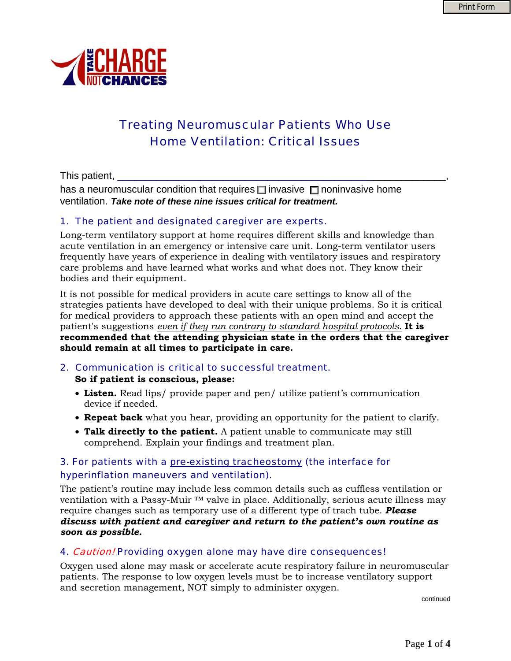

# Treating Neuromuscular Patients Who Use Home Ventilation: Critical Issues

This patient,

has a neuromuscular condition that requires  $\Box$  invasive  $\Box$  noninvasive home ventilation. *Take note of these nine issues critical for treatment.*

#### 1. The patient and designated caregiver are experts.

Long-term ventilatory support at home requires different skills and knowledge than acute ventilation in an emergency or intensive care unit. Long-term ventilator users frequently have years of experience in dealing with ventilatory issues and respiratory care problems and have learned what works and what does not. They know their bodies and their equipment.

It is not possible for medical providers in acute care settings to know all of the strategies patients have developed to deal with their unique problems. So it is critical for medical providers to approach these patients with an open mind and accept the patient's suggestions *even if they run contrary to standard hospital protocols*. **It is recommended that the attending physician state in the orders that the caregiver should remain at all times to participate in care.** 

#### 2. Communication is critical to successful treatment. **So if patient is conscious, please:**

- **Listen.** Read lips/ provide paper and pen/ utilize patient's communication device if needed.
- **Repeat back** what you hear, providing an opportunity for the patient to clarify.
- **Talk directly to the patient.** A patient unable to communicate may still comprehend. Explain your findings and treatment plan.

## 3. For patients with a pre-existing tracheostomy (the interface for hyperinflation maneuvers and ventilation).

The patient's routine may include less common details such as cuffless ventilation or ventilation with a Passy-Muir ™ valve in place. Additionally, serious acute illness may require changes such as temporary use of a different type of trach tube. *Please discuss with patient and caregiver and return to the patient's own routine as soon as possible.*

## 4. Caution! Providing oxygen alone may have dire consequences!

Oxygen used alone may mask or accelerate acute respiratory failure in neuromuscular patients. The response to low oxygen levels must be to increase ventilatory support and secretion management, NOT simply to administer oxygen.

continued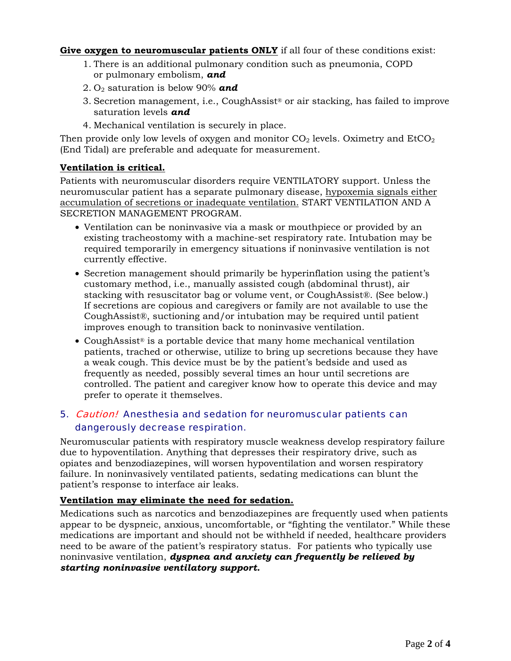**Give oxygen to neuromuscular patients ONLY** if all four of these conditions exist:

- 1. There is an additional pulmonary condition such as pneumonia, COPD or pulmonary embolism, *and*
- 2. O2 saturation is below 90% *and*
- 3. Secretion management, i.e., CoughAssist® or air stacking, has failed to improve saturation levels *and*
- 4. Mechanical ventilation is securely in place.

Then provide only low levels of oxygen and monitor  $CO<sub>2</sub>$  levels. Oximetry and  $EtCO<sub>2</sub>$ (End Tidal) are preferable and adequate for measurement.

## **Ventilation is critical.**

Patients with neuromuscular disorders require VENTILATORY support. Unless the neuromuscular patient has a separate pulmonary disease, hypoxemia signals either accumulation of secretions or inadequate ventilation. START VENTILATION AND A SECRETION MANAGEMENT PROGRAM.

- Ventilation can be noninvasive via a mask or mouthpiece or provided by an existing tracheostomy with a machine-set respiratory rate. Intubation may be required temporarily in emergency situations if noninvasive ventilation is not currently effective.
- Secretion management should primarily be hyperinflation using the patient's customary method, i.e., manually assisted cough (abdominal thrust), air stacking with resuscitator bag or volume vent, or CoughAssist®. (See below.) If secretions are copious and caregivers or family are not available to use the CoughAssist®, suctioning and/or intubation may be required until patient improves enough to transition back to noninvasive ventilation.
- CoughAssist<sup>®</sup> is a portable device that many home mechanical ventilation patients, trached or otherwise, utilize to bring up secretions because they have a weak cough. This device must be by the patient's bedside and used as frequently as needed, possibly several times an hour until secretions are controlled. The patient and caregiver know how to operate this device and may prefer to operate it themselves.

# 5. Caution! Anesthesia and sedation for neuromuscular patients can dangerously decrease respiration.

Neuromuscular patients with respiratory muscle weakness develop respiratory failure due to hypoventilation. Anything that depresses their respiratory drive, such as opiates and benzodiazepines, will worsen hypoventilation and worsen respiratory failure. In noninvasively ventilated patients, sedating medications can blunt the patient's response to interface air leaks.

## **Ventilation may eliminate the need for sedation.**

Medications such as narcotics and benzodiazepines are frequently used when patients appear to be dyspneic, anxious, uncomfortable, or "fighting the ventilator." While these medications are important and should not be withheld if needed, healthcare providers need to be aware of the patient's respiratory status. For patients who typically use noninvasive ventilation, *dyspnea and anxiety can frequently be relieved by starting noninvasive ventilatory support.*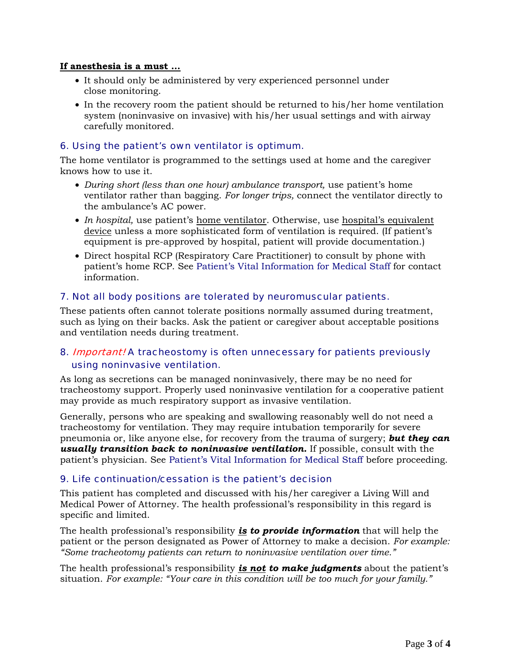#### **If anesthesia is a must …**

- It should only be administered by very experienced personnel under close monitoring.
- In the recovery room the patient should be returned to his/her home ventilation system (noninvasive on invasive) with his/her usual settings and with airway carefully monitored.

## 6. Using the patient's own ventilator is optimum.

The home ventilator is programmed to the settings used at home and the caregiver knows how to use it.

- *During short (less than one hour) ambulance transport,* use patient's home ventilator rather than bagging. *For longer trips,* connect the ventilator directly to the ambulance's AC power.
- *In hospital*, use patient's <u>home ventilator</u>. Otherwise, use hospital's equivalent device unless a more sophisticated form of ventilation is required. (If patient's equipment is pre-approved by hospital, patient will provide documentation.)
- Direct hospital RCP (Respiratory Care Practitioner) to consult by phone with patient's home RCP. See Patient's Vital Information for Medical Staff for contact information.

## 7. Not all body positions are tolerated by neuromuscular patients.

These patients often cannot tolerate positions normally assumed during treatment, such as lying on their backs. Ask the patient or caregiver about acceptable positions and ventilation needs during treatment.

## 8. Important! A tracheostomy is often unnecessary for patients previously using noninvasive ventilation.

As long as secretions can be managed noninvasively, there may be no need for tracheostomy support. Properly used noninvasive ventilation for a cooperative patient may provide as much respiratory support as invasive ventilation.

Generally, persons who are speaking and swallowing reasonably well do not need a tracheostomy for ventilation. They may require intubation temporarily for severe pneumonia or, like anyone else, for recovery from the trauma of surgery; *but they can usually transition back to noninvasive ventilation.* If possible, consult with the patient's physician. See Patient's Vital Information for Medical Staff before proceeding.

## 9. Life continuation/cessation is the patient's decision

This patient has completed and discussed with his/her caregiver a Living Will and Medical Power of Attorney. The health professional's responsibility in this regard is specific and limited.

The health professional's responsibility *is to provide information* that will help the patient or the person designated as Power of Attorney to make a decision. *For example: "Some tracheotomy patients can return to noninvasive ventilation over time."*

The health professional's responsibility *is not to make judgments* about the patient's situation. *For example: "Your care in this condition will be too much for your family."*